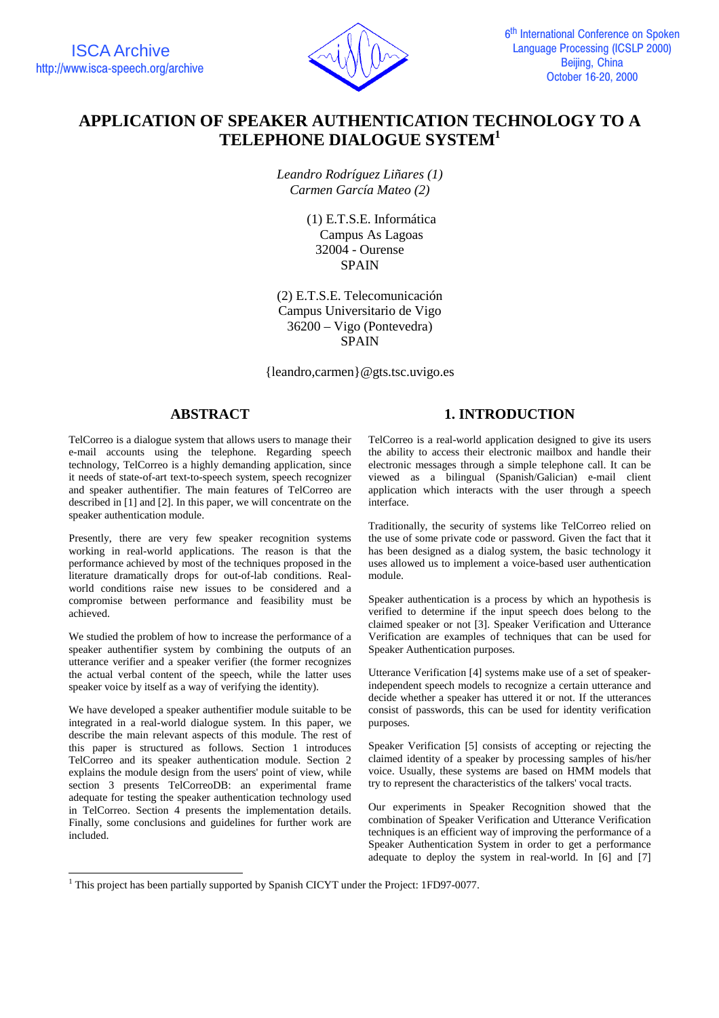

# **APPLICATION OF SPEAKER AUTHENTICATION TECHNOLOGY TO A TELEPHONE DIALOGUE SYSTEM<sup>1</sup>**

*Leandro Rodríguez Liñares (1) Carmen García Mateo (2)*

> (1) E.T.S.E. Informática Campus As Lagoas 32004 - Ourense **SPAIN**

(2) E.T.S.E. Telecomunicación Campus Universitario de Vigo 36200 – Vigo (Pontevedra) SPAIN

{leandro,carmen}@gts.tsc.uvigo.es

## **ABSTRACT**

TelCorreo is a dialogue system that allows users to manage their e-mail accounts using the telephone. Regarding speech technology, TelCorreo is a highly demanding application, since it needs of state-of-art text-to-speech system, speech recognizer and speaker authentifier. The main features of TelCorreo are described in [1] and [2]. In this paper, we will concentrate on the speaker authentication module.

Presently, there are very few speaker recognition systems working in real-world applications. The reason is that the performance achieved by most of the techniques proposed in the literature dramatically drops for out-of-lab conditions. Realworld conditions raise new issues to be considered and a compromise between performance and feasibility must be achieved.

We studied the problem of how to increase the performance of a speaker authentifier system by combining the outputs of an utterance verifier and a speaker verifier (the former recognizes the actual verbal content of the speech, while the latter uses speaker voice by itself as a way of verifying the identity).

We have developed a speaker authentifier module suitable to be integrated in a real-world dialogue system. In this paper, we describe the main relevant aspects of this module. The rest of this paper is structured as follows. Section 1 introduces TelCorreo and its speaker authentication module. Section 2 explains the module design from the users' point of view, while section 3 presents TelCorreoDB: an experimental frame adequate for testing the speaker authentication technology used in TelCorreo. Section 4 presents the implementation details. Finally, some conclusions and guidelines for further work are included.

l

# **1. INTRODUCTION**

TelCorreo is a real-world application designed to give its users the ability to access their electronic mailbox and handle their electronic messages through a simple telephone call. It can be viewed as a bilingual (Spanish/Galician) e-mail client application which interacts with the user through a speech interface.

Traditionally, the security of systems like TelCorreo relied on the use of some private code or password. Given the fact that it has been designed as a dialog system, the basic technology it uses allowed us to implement a voice-based user authentication module.

Speaker authentication is a process by which an hypothesis is verified to determine if the input speech does belong to the claimed speaker or not [3]. Speaker Verification and Utterance Verification are examples of techniques that can be used for Speaker Authentication purposes.

Utterance Verification [4] systems make use of a set of speakerindependent speech models to recognize a certain utterance and decide whether a speaker has uttered it or not. If the utterances consist of passwords, this can be used for identity verification purposes.

Speaker Verification [5] consists of accepting or rejecting the claimed identity of a speaker by processing samples of his/her voice. Usually, these systems are based on HMM models that try to represent the characteristics of the talkers' vocal tracts.

Our experiments in Speaker Recognition showed that the combination of Speaker Verification and Utterance Verification techniques is an efficient way of improving the performance of a Speaker Authentication System in order to get a performance adequate to deploy the system in real-world. In [6] and [7]

<sup>&</sup>lt;sup>1</sup> This project has been partially supported by Spanish CICYT under the Project: 1FD97-0077.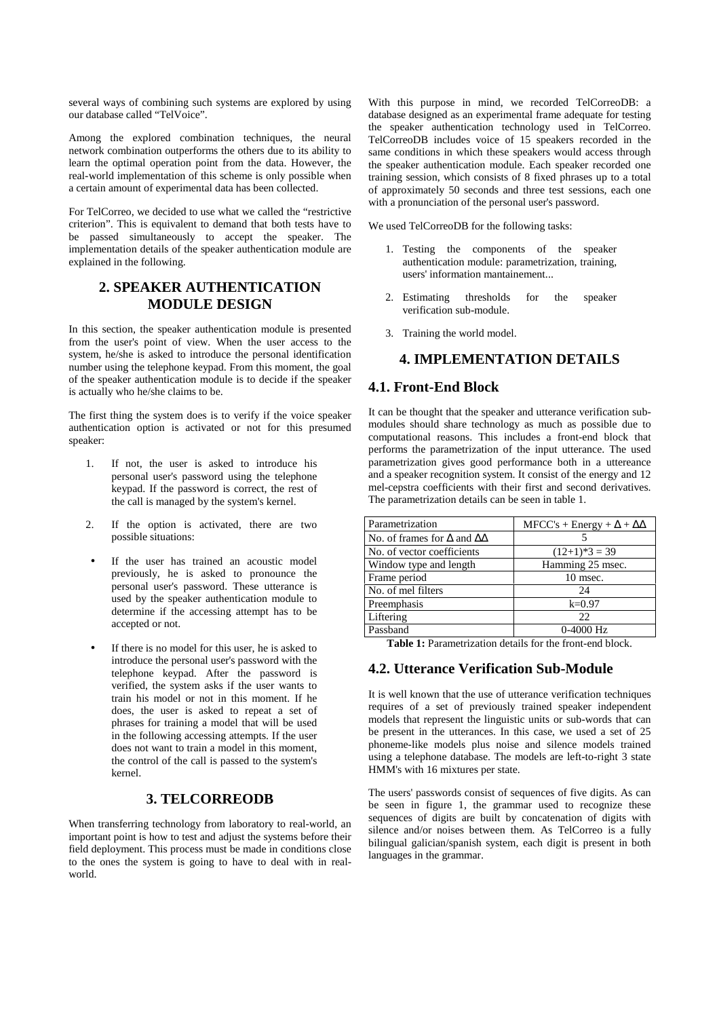several ways of combining such systems are explored by using our database called "TelVoice".

Among the explored combination techniques, the neural network combination outperforms the others due to its ability to learn the optimal operation point from the data. However, the real-world implementation of this scheme is only possible when a certain amount of experimental data has been collected.

For TelCorreo, we decided to use what we called the "restrictive criterion". This is equivalent to demand that both tests have to be passed simultaneously to accept the speaker. The implementation details of the speaker authentication module are explained in the following.

## **2. SPEAKER AUTHENTICATION MODULE DESIGN**

In this section, the speaker authentication module is presented from the user's point of view. When the user access to the system, he/she is asked to introduce the personal identification number using the telephone keypad. From this moment, the goal of the speaker authentication module is to decide if the speaker is actually who he/she claims to be.

The first thing the system does is to verify if the voice speaker authentication option is activated or not for this presumed speaker:

- 1. If not, the user is asked to introduce his personal user's password using the telephone keypad. If the password is correct, the rest of the call is managed by the system's kernel.
- 2. If the option is activated, there are two possible situations:
- If the user has trained an acoustic model previously, he is asked to pronounce the personal user's password. These utterance is used by the speaker authentication module to determine if the accessing attempt has to be accepted or not.
- If there is no model for this user, he is asked to introduce the personal user's password with the telephone keypad. After the password is verified, the system asks if the user wants to train his model or not in this moment. If he does, the user is asked to repeat a set of phrases for training a model that will be used in the following accessing attempts. If the user does not want to train a model in this moment, the control of the call is passed to the system's kernel.

## **3. TELCORREODB**

When transferring technology from laboratory to real-world, an important point is how to test and adjust the systems before their field deployment. This process must be made in conditions close to the ones the system is going to have to deal with in realworld.

With this purpose in mind, we recorded TelCorreoDB: a database designed as an experimental frame adequate for testing the speaker authentication technology used in TelCorreo. TelCorreoDB includes voice of 15 speakers recorded in the same conditions in which these speakers would access through the speaker authentication module. Each speaker recorded one training session, which consists of 8 fixed phrases up to a total of approximately 50 seconds and three test sessions, each one with a pronunciation of the personal user's password.

We used TelCorreoDB for the following tasks:

- 1. Testing the components of the speaker authentication module: parametrization, training, users' information mantainement...
- 2. Estimating thresholds for the speaker verification sub-module.
- 3. Training the world model.

## **4. IMPLEMENTATION DETAILS**

#### **4.1. Front-End Block**

It can be thought that the speaker and utterance verification submodules should share technology as much as possible due to computational reasons. This includes a front-end block that performs the parametrization of the input utterance. The used parametrization gives good performance both in a uttereance and a speaker recognition system. It consist of the energy and 12 mel-cepstra coefficients with their first and second derivatives. The parametrization details can be seen in table 1.

| Parametrization                               | $MFCC's + Energy + \Delta + \Delta\Delta$ |  |
|-----------------------------------------------|-------------------------------------------|--|
| No. of frames for $\Delta$ and $\Delta\Delta$ |                                           |  |
| No. of vector coefficients                    | $(12+1)*3 = 39$                           |  |
| Window type and length                        | Hamming 25 msec.                          |  |
| Frame period                                  | 10 msec.                                  |  |
| No. of mel filters                            | 24                                        |  |
| Preemphasis                                   | $k=0.97$                                  |  |
| Liftering                                     | 22                                        |  |
| Passband                                      | $0-4000$ Hz                               |  |

**Table 1:** Parametrization details for the front-end block.

## **4.2. Utterance Verification Sub-Module**

It is well known that the use of utterance verification techniques requires of a set of previously trained speaker independent models that represent the linguistic units or sub-words that can be present in the utterances. In this case, we used a set of 25 phoneme-like models plus noise and silence models trained using a telephone database. The models are left-to-right 3 state HMM's with 16 mixtures per state.

The users' passwords consist of sequences of five digits. As can be seen in figure 1, the grammar used to recognize these sequences of digits are built by concatenation of digits with silence and/or noises between them. As TelCorreo is a fully bilingual galician/spanish system, each digit is present in both languages in the grammar.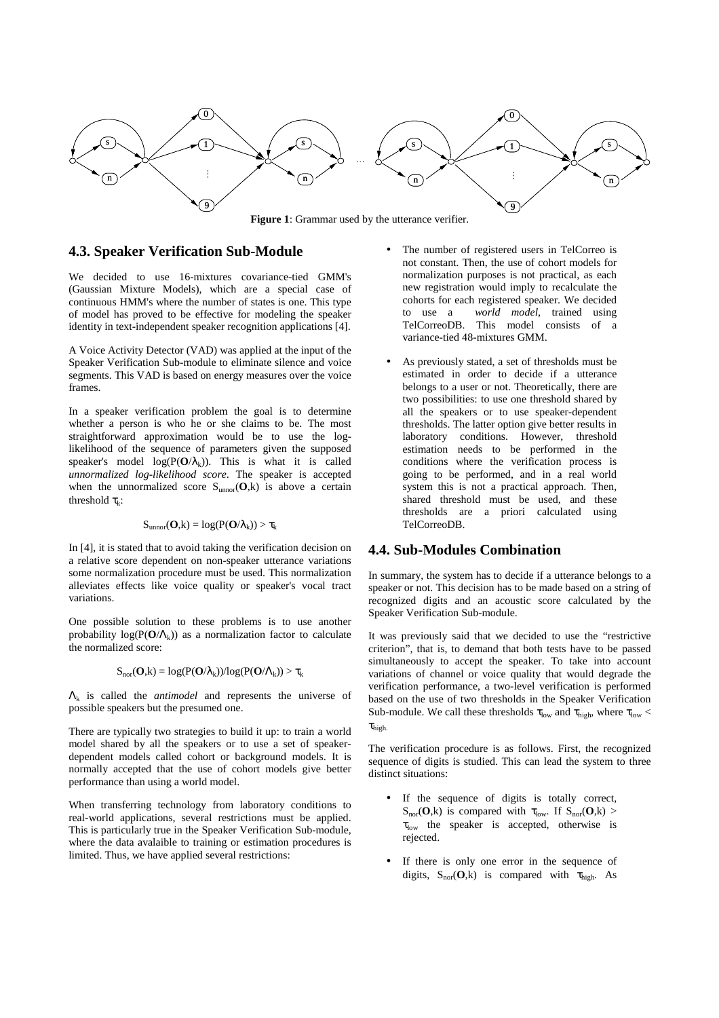

**Figure 1**: Grammar used by the utterance verifier.

#### **4.3. Speaker Verification Sub-Module**

We decided to use 16-mixtures covariance-tied GMM's (Gaussian Mixture Models), which are a special case of continuous HMM's where the number of states is one. This type of model has proved to be effective for modeling the speaker identity in text-independent speaker recognition applications [4].

A Voice Activity Detector (VAD) was applied at the input of the Speaker Verification Sub-module to eliminate silence and voice segments. This VAD is based on energy measures over the voice frames.

In a speaker verification problem the goal is to determine whether a person is who he or she claims to be. The most straightforward approximation would be to use the loglikelihood of the sequence of parameters given the supposed speaker's model  $log(P(O/\lambda_k))$ . This is what it is called *unnormalized log-likelihood score*. The speaker is accepted when the unnormalized score  $S_{\text{unnor}}(O,k)$  is above a certain threshold  $\tau_k$ :

$$
S_{\text{unnor}}(\mathbf{O},\!k) = log(P(\mathbf{O}/\lambda_k)) > \tau_k
$$

In [4], it is stated that to avoid taking the verification decision on a relative score dependent on non-speaker utterance variations some normalization procedure must be used. This normalization alleviates effects like voice quality or speaker's vocal tract variations.

One possible solution to these problems is to use another probability  $log(P(O/\Lambda_k))$  as a normalization factor to calculate the normalized score:

$$
S_{nor}(\mathbf{O},k) = log(P(\mathbf{O}/\lambda_k))/log(P(\mathbf{O}/\Lambda_k)) > \tau_k
$$

Λk is called the *antimodel* and represents the universe of possible speakers but the presumed one.

There are typically two strategies to build it up: to train a world model shared by all the speakers or to use a set of speakerdependent models called cohort or background models. It is normally accepted that the use of cohort models give better performance than using a world model.

When transferring technology from laboratory conditions to real-world applications, several restrictions must be applied. This is particularly true in the Speaker Verification Sub-module, where the data avalaible to training or estimation procedures is limited. Thus, we have applied several restrictions:

- The number of registered users in TelCorreo is not constant. Then, the use of cohort models for normalization purposes is not practical, as each new registration would imply to recalculate the cohorts for each registered speaker. We decided to use a *world model*, trained using TelCorreoDB. This model consists of a variance-tied 48-mixtures GMM.
- As previously stated, a set of thresholds must be estimated in order to decide if a utterance belongs to a user or not. Theoretically, there are two possibilities: to use one threshold shared by all the speakers or to use speaker-dependent thresholds. The latter option give better results in laboratory conditions. However, threshold estimation needs to be performed in the conditions where the verification process is going to be performed, and in a real world system this is not a practical approach. Then, shared threshold must be used, and these thresholds are a priori calculated using TelCorreoDB.

### **4.4. Sub-Modules Combination**

In summary, the system has to decide if a utterance belongs to a speaker or not. This decision has to be made based on a string of recognized digits and an acoustic score calculated by the Speaker Verification Sub-module.

It was previously said that we decided to use the "restrictive criterion", that is, to demand that both tests have to be passed simultaneously to accept the speaker. To take into account variations of channel or voice quality that would degrade the verification performance, a two-level verification is performed based on the use of two thresholds in the Speaker Verification Sub-module. We call these thresholds  $\tau_{low}$  and  $\tau_{high}$ , where  $\tau_{low}$  $\tau_{\rm high.}$ 

The verification procedure is as follows. First, the recognized sequence of digits is studied. This can lead the system to three distinct situations:

- If the sequence of digits is totally correct,  $S_{\text{nor}}(O,k)$  is compared with  $\tau_{\text{low}}$ . If  $S_{\text{nor}}(O,k)$  $\tau_{\text{low}}$  the speaker is accepted, otherwise is rejected.
- If there is only one error in the sequence of digits,  $S_{nor}(O,k)$  is compared with  $\tau_{high}$ . As